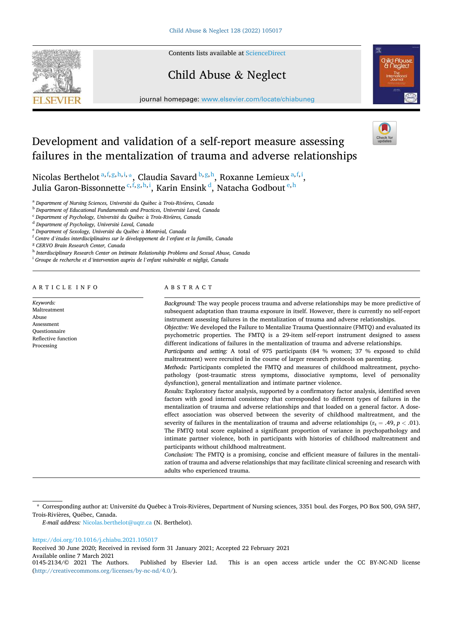Contents lists available at [ScienceDirect](www.sciencedirect.com/science/journal/01452134)

# Child Abuse & Neglect



journal homepage: [www.elsevier.com/locate/chiabuneg](https://www.elsevier.com/locate/chiabuneg)

# Development and validation of a self-report measure assessing failures in the mentalization of trauma and adverse relationships

Nicolas Berthelot  $a,f,g,h,i, *$ , Claudia Savard  $b,g,h$ , Roxanne Lemieux  $a,f,i$ , Julia Garon-Bissonnette <sup>c,f,g,h,i</sup>, Karin Ensink <sup>d</sup>, Natacha Godbout <sup>e,h</sup>

<sup>a</sup> *Department of Nursing Sciences, Universit*´*e du Qu*´*ebec a* ` *Trois-Rivi*`*eres, Canada* 

<sup>b</sup> Department of Educational Fundamentals and Practices, Université Laval, Canada

<sup>c</sup> *Department of Psychology, Universit*´*e du Qu*´*ebec a* ` *Trois-Rivi*`*eres, Canada* 

<sup>d</sup> *Department of Psychology, Universit*´*e Laval, Canada* 

<sup>e</sup> *Department of Sexology, Universit*´*e du Qu*´*ebec a* ` *Montr*´*eal, Canada* 

<sup>f</sup> *Centre d'*´*etudes interdisciplinaires sur le d*´*eveloppement de l'enfant et la famille, Canada* 

<sup>g</sup> *CERVO Brain Research Center, Canada* 

<sup>h</sup> *Interdisciplinary Research Center on Intimate Relationship Problems and Sexual Abuse, Canada* 

<sup>*i*</sup> Groupe de recherche et d'intervention auprès de l'enfant vulnérable et négligé, Canada

# ARTICLE INFO

*Keywords:*  Maltreatment Abuse Assessment Questionnaire Reflective function Processing

# ABSTRACT

*Background:* The way people process trauma and adverse relationships may be more predictive of subsequent adaptation than trauma exposure in itself. However, there is currently no self-report instrument assessing failures in the mentalization of trauma and adverse relationships. *Objective:* We developed the Failure to Mentalize Trauma Questionnaire (FMTQ) and evaluated its

psychometric properties. The FMTQ is a 29-item self-report instrument designed to assess different indications of failures in the mentalization of trauma and adverse relationships.

*Participants and setting:* A total of 975 participants (84 % women; 37 % exposed to child maltreatment) were recruited in the course of larger research protocols on parenting.

*Methods:* Participants completed the FMTQ and measures of childhood maltreatment, psychopathology (post-traumatic stress symptoms, dissociative symptoms, level of personality dysfunction), general mentalization and intimate partner violence.

*Results:* Exploratory factor analysis, supported by a confirmatory factor analysis, identified seven factors with good internal consistency that corresponded to different types of failures in the mentalization of trauma and adverse relationships and that loaded on a general factor. A doseeffect association was observed between the severity of childhood maltreatment, and the severity of failures in the mentalization of trauma and adverse relationships  $(r_s = .49, p < .01)$ . The FMTQ total score explained a significant proportion of variance in psychopathology and intimate partner violence, both in participants with histories of childhood maltreatment and participants without childhood maltreatment.

*Conclusion:* The FMTQ is a promising, concise and efficient measure of failures in the mentalization of trauma and adverse relationships that may facilitate clinical screening and research with adults who experienced trauma.

## <https://doi.org/10.1016/j.chiabu.2021.105017>

Received 30 June 2020; Received in revised form 31 January 2021; Accepted 22 February 2021

Available online 7 March 2021<br>0145-2134/© 2021 The Authors.

<sup>\*</sup> Corresponding author at: Université du Québec à Trois-Rivières, Department of Nursing sciences, 3351 boul. des Forges, PO Box 500, G9A 5H7, Trois-Rivières, Québec, Canada.

*E-mail address:* [Nicolas.berthelot@uqtr.ca](mailto:Nicolas.berthelot@uqtr.ca) (N. Berthelot).

Published by Elsevier Ltd. This is an open access article under the CC BY-NC-ND license (<http://creativecommons.org/licenses/by-nc-nd/4.0/>).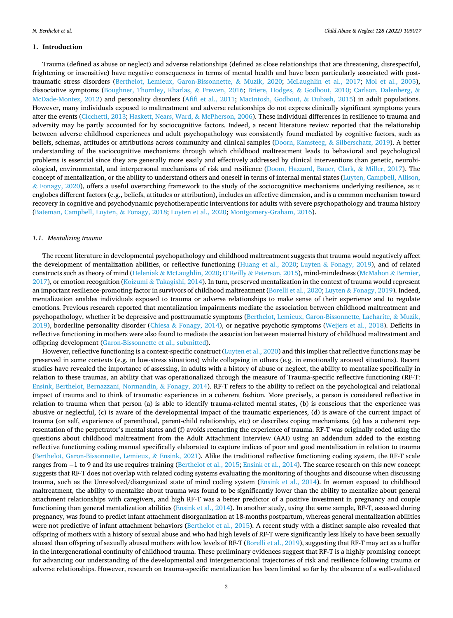### **1. Introduction**

Trauma (defined as abuse or neglect) and adverse relationships (defined as close relationships that are threatening, disrespectful, frightening or insensitive) have negative consequences in terms of mental health and have been particularly associated with posttraumatic stress disorders ([Berthelot, Lemieux, Garon-Bissonnette,](#page-11-0) & Muzik, 2020; [McLaughlin et al., 2017;](#page-12-0) [Mol et al., 2005](#page-12-0)), dissociative symptoms [\(Boughner, Thornley, Kharlas,](#page-11-0) & Frewen, 2016; [Briere, Hodges,](#page-11-0) & Godbout, 2010; [Carlson, Dalenberg,](#page-11-0) & [McDade-Montez, 2012\)](#page-11-0) and personality disorders [\(Afifi et al., 2011;](#page-11-0) [MacIntosh, Godbout,](#page-12-0) & Dubash, 2015) in adult populations. However, many individuals exposed to maltreatment and adverse relationships do not express clinically significant symptoms years after the events [\(Cicchetti, 2013](#page-11-0); [Haskett, Nears, Ward,](#page-12-0) & McPherson, 2006). These individual differences in resilience to trauma and adversity may be partly accounted for by sociocognitive factors. Indeed, a recent literature review reported that the relationship between adverse childhood experiences and adult psychopathology was consistently found mediated by cognitive factors, such as beliefs, schemas, attitudes or attributions across community and clinical samples [\(Doorn, Kamsteeg,](#page-12-0) & Silberschatz, 2019). A better understanding of the sociocognitive mechanisms through which childhood maltreatment leads to behavioral and psychological problems is essential since they are generally more easily and effectively addressed by clinical interventions than genetic, neurobiological, environmental, and interpersonal mechanisms of risk and resilience ([Doom, Hazzard, Bauer, Clark,](#page-11-0) & Miller, 2017). The concept of mentalization, or the ability to understand others and oneself in terms of internal mental states ([Luyten, Campbell, Allison,](#page-12-0) & [Fonagy, 2020](#page-12-0)), offers a useful overarching framework to the study of the sociocognitive mechanisms underlying resilience, as it englobes different factors (e.g., beliefs, attitudes or attribution), includes an affective dimension, and is a common mechanism toward recovery in cognitive and psychodynamic psychotherapeutic interventions for adults with severe psychopathology and trauma history [\(Bateman, Campbell, Luyten,](#page-11-0) & Fonagy, 2018; [Luyten et al., 2020](#page-12-0); [Montgomery-Graham, 2016](#page-12-0)).

#### *1.1. Mentalizing trauma*

The recent literature in developmental psychopathology and childhood maltreatment suggests that trauma would negatively affect the development of mentalization abilities, or reflective functioning ([Huang et al., 2020](#page-12-0); Luyten & [Fonagy, 2019\)](#page-12-0), and of related constructs such as theory of mind (Heleniak & [McLaughlin, 2020;](#page-12-0) O'Reilly & [Peterson, 2015\)](#page-12-0), mind-mindedness [\(McMahon](#page-12-0) & Bernier, [2017\)](#page-12-0), or emotion recognition (Koizumi & [Takagishi, 2014](#page-12-0)). In turn, preserved mentalization in the context of trauma would represent an important resilience-promoting factor in survivors of childhood maltreatment [\(Borelli et al., 2020](#page-11-0); Luyten & [Fonagy, 2019](#page-12-0)). Indeed, mentalization enables individuals exposed to trauma or adverse relationships to make sense of their experience and to regulate emotions. Previous research reported that mentalization impairments mediate the association between childhood maltreatment and psychopathology, whether it be depressive and posttraumatic symptoms ([Berthelot, Lemieux, Garon-Bissonnette, Lacharite,](#page-11-0) & Muzik, [2019\)](#page-11-0), borderline personality disorder (Chiesa & [Fonagy, 2014\)](#page-11-0), or negative psychotic symptoms ([Weijers et al., 2018](#page-12-0)). Deficits in reflective functioning in mothers were also found to mediate the association between maternal history of childhood maltreatment and offspring development ([Garon-Bissonnette et al., submitted\)](#page-12-0).

However, reflective functioning is a context-specific construct ([Luyten et al., 2020\)](#page-12-0) and this implies that reflective functions may be preserved in some contexts (e.g. in low-stress situations) while collapsing in others (e.g. in emotionally aroused situations). Recent studies have revealed the importance of assessing, in adults with a history of abuse or neglect, the ability to mentalize specifically in relation to these traumas, an ability that was operationalized through the measure of Trauma-specific reflective functioning (RF-T: [Ensink, Berthelot, Bernazzani, Normandin,](#page-12-0) & Fonagy, 2014). RF-T refers to the ability to reflect on the psychological and relational impact of trauma and to think of traumatic experiences in a coherent fashion. More precisely, a person is considered reflective in relation to trauma when that person (a) is able to identify trauma-related mental states, (b) is conscious that the experience was abusive or neglectful, (c) is aware of the developmental impact of the traumatic experiences, (d) is aware of the current impact of trauma (on self, experience of parenthood, parent-child relationship, etc) or describes coping mechanisms, (e) has a coherent representation of the perpetrator's mental states and (f) avoids reenacting the experience of trauma. RF-T was originally coded using the questions about childhood maltreatment from the Adult Attachment Interview (AAI) using an addendum added to the existing reflective functioning coding manual specifically elaborated to capture indices of poor and good mentalization in relation to trauma [\(Berthelot, Garon-Bissonnette, Lemieux,](#page-11-0) & Ensink, 2021). Alike the traditional reflective functioning coding system, the RF-T scale ranges from − 1 to 9 and its use requires training ([Berthelot et al., 2015;](#page-11-0) [Ensink et al., 2014](#page-12-0)). The scarce research on this new concept suggests that RF-T does not overlap with related coding systems evaluating the monitoring of thoughts and discourse when discussing trauma, such as the Unresolved/disorganized state of mind coding system ([Ensink et al., 2014\)](#page-12-0). In women exposed to childhood maltreatment, the ability to mentalize about trauma was found to be significantly lower than the ability to mentalize about general attachment relationships with caregivers, and high RF-T was a better predictor of a positive investment in pregnancy and couple functioning than general mentalization abilities [\(Ensink et al., 2014\)](#page-12-0). In another study, using the same sample, RF-T, assessed during pregnancy, was found to predict infant attachment disorganization at 18-months postpartum, whereas general mentalization abilities were not predictive of infant attachment behaviors [\(Berthelot et al., 2015](#page-11-0)). A recent study with a distinct sample also revealed that offspring of mothers with a history of sexual abuse and who had high levels of RF-T were significantly less likely to have been sexually abused than offspring of sexually abused mothers with low levels of RF-T [\(Borelli et al., 2019](#page-11-0)), suggesting that RF-T may act as a buffer in the intergenerational continuity of childhood trauma. These preliminary evidences suggest that RF-T is a highly promising concept for advancing our understanding of the developmental and intergenerational trajectories of risk and resilience following trauma or adverse relationships. However, research on trauma-specific mentalization has been limited so far by the absence of a well-validated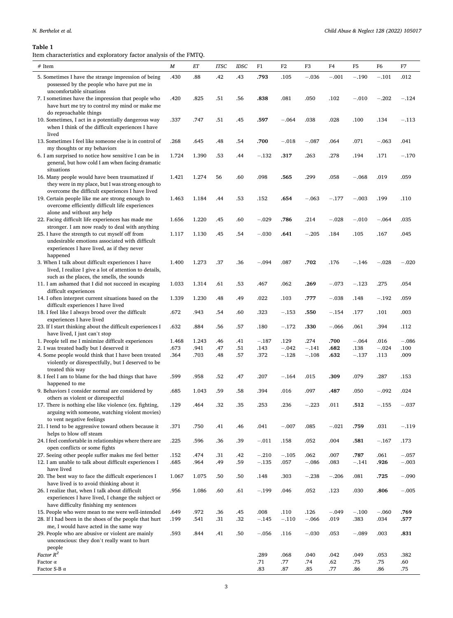# <span id="page-2-0"></span>*N. Berthelot et al.*

## **Table 1**

Item characteristics and exploratory factor analysis of the FMTQ.

| $\#$ Item                                                                                                                                                  | M     | $_{ET}$ | <b>ITSC</b> | <b>IDSC</b> | F1      | $_{\rm F2}$ | F3      | F4      | F <sub>5</sub> | F6      | F7      |
|------------------------------------------------------------------------------------------------------------------------------------------------------------|-------|---------|-------------|-------------|---------|-------------|---------|---------|----------------|---------|---------|
| 5. Sometimes I have the strange impression of being<br>possessed by the people who have put me in                                                          | .430  | .88     | .42         | .43         | .793    | .105        | $-.036$ | $-.001$ | $-.190$        | $-.101$ | .012    |
| uncomfortable situations<br>7. I sometimes have the impression that people who<br>have hurt me try to control my mind or make me<br>do reproachable things | .420  | .825    | .51         | .56         | .838    | .081        | .050    | .102    | $-.010$        | $-.202$ | $-.124$ |
| 10. Sometimes, I act in a potentially dangerous way<br>when I think of the difficult experiences I have<br>lived                                           | .337  | .747    | .51         | .45         | .597    | $-.064$     | .038    | .028    | .100           | .134    | $-.113$ |
| 13. Sometimes I feel like someone else is in control of<br>my thoughts or my behaviors                                                                     | .268  | .645    | .48         | .54         | .700    | $-.018$     | $-.087$ | .064    | .071           | $-.063$ | .041    |
| 6. I am surprised to notice how sensitive I can be in<br>general, but how cold I am when facing dramatic<br>situations                                     | 1.724 | 1.390   | .53         | .44         | $-.132$ | .317        | .263    | .278    | .194           | .171    | $-.170$ |
| 16. Many people would have been traumatized if<br>they were in my place, but I was strong enough to<br>overcome the difficult experiences I have lived     | 1.421 | 1.274   | 56          | .60         | .098    | .565        | .299    | .058    | $-.068$        | .019    | .059    |
| 19. Certain people like me are strong enough to<br>overcome efficiently difficult life experiences                                                         | 1.463 | 1.184   | .44         | .53         | .152    | .654        | $-.063$ | $-.177$ | $-.003$        | .199    | .110    |
| alone and without any help<br>22. Facing difficult life experiences has made me<br>stronger. I am now ready to deal with anything                          | 1.656 | 1.220   | .45         | .60         | $-.029$ | .786        | .214    | $-.028$ | $-.010$        | $-.064$ | .035    |
| 25. I have the strength to cut myself off from<br>undesirable emotions associated with difficult<br>experiences I have lived, as if they never             | 1.117 | 1.130   | .45         | .54         | $-.030$ | .641        | $-.205$ | .184    | .105           | .167    | .045    |
| happened<br>3. When I talk about difficult experiences I have<br>lived, I realize I give a lot of attention to details,                                    | 1.400 | 1.273   | .37         | .36         | $-.094$ | .087        | .702    | .176    | $-.146$        | $-.028$ | $-.020$ |
| such as the places, the smells, the sounds<br>11. I am ashamed that I did not succeed in escaping                                                          | 1.033 | 1.314   | .61         | .53         | .467    | .062        | .269    | $-.073$ | $-.123$        | .275    | .054    |
| difficult experiences<br>14. I often interpret current situations based on the                                                                             | 1.339 | 1.230   | .48         | .49         | .022    | .103        | .777    | $-.038$ | .148           | $-.192$ | .059    |
| difficult experiences I have lived<br>18. I feel like I always brood over the difficult                                                                    | .672  | .943    | .54         | .60         | .323    | $-.153$     | .550    | $-.154$ | .177           | .101    | .003    |
| experiences I have lived<br>23. If I start thinking about the difficult experiences I                                                                      | .632  | .884    | .56         | .57         | .180    | $-.172$     | .330    | $-.066$ | .061           | .394    | .112    |
| have lived, I just can't stop<br>1. People tell me I minimize difficult experiences                                                                        | 1.468 | 1.243   | .46         | .41         | $-.187$ | .129        | .274    | .700    | $-.064$        | .016    | $-.086$ |
| 2. I was treated badly but I deserved it                                                                                                                   | .673  | .941    | .47         | .51         | .143    | $-.042$     | $-.141$ | .682    | .138           | $-.024$ | .100    |
| 4. Some people would think that I have been treated<br>violently or disrespectfully, but I deserved to be<br>treated this way                              | .364  | .703    | .48         | .57         | .372    | $-.128$     | $-.108$ | .632    | $-.137$        | .113    | .009    |
| 8. I feel I am to blame for the bad things that have<br>happened to me                                                                                     | .599  | .958    | .52         | .47         | .207    | $-.164$     | .015    | .309    | .079           | .287    | .153    |
| 9. Behaviors I consider normal are considered by<br>others as violent or disrespectful                                                                     | .685  | 1.043   | .59         | .58         | .394    | .016        | .097    | .487    | .050           | $-.092$ | .024    |
| 17. There is nothing else like violence (ex. fighting,<br>arguing with someone, watching violent movies)<br>to vent negative feelings                      | .129  | .464    | .32         | .35         | .253    | .236        | $-.223$ | .011    | .512           | $-.155$ | $-.037$ |
| 21. I tend to be aggressive toward others because it<br>helps to blow off steam                                                                            | .371  | .750    | .41         | .46         | .041    | $-.007$     | .085    | $-.021$ | .759           | .031    | $-.119$ |
| 24. I feel comfortable in relationships where there are<br>open conflicts or some fights                                                                   | .225  | .596    | .36         | .39         | $-.011$ | .158        | .052    | .004    | .581           | $-.167$ | .173    |
| 27. Seeing other people suffer makes me feel better                                                                                                        | .152  | .474    | .31         | .42         | $-.210$ | $-.105$     | .062    | .007    | .787           | .061    | $-.057$ |
| 12. I am unable to talk about difficult experiences I<br>have lived                                                                                        | .685  | .964    | .49         | .59         | $-.135$ | .057        | $-.086$ | .083    | $-.141$        | .926    | $-.003$ |
| 20. The best way to face the difficult experiences I<br>have lived is to avoid thinking about it                                                           | 1.067 | 1.075   | .50         | .50         | .148    | .303        | $-.238$ | $-.206$ | .081           | .725    | $-.090$ |
| 26. I realize that, when I talk about difficult<br>experiences I have lived, I change the subject or<br>have difficulty finishing my sentences             | .956  | 1.086   | .60         | .61         | $-.199$ | .046        | .052    | .123    | .030           | .806    | $-.005$ |
| 15. People who were mean to me were well-intended                                                                                                          | .649  | .972    | .36         | .45         | .008    | .110        | .126    | $-.049$ | $-.100$        | $-.060$ | .769    |
| 28. If I had been in the shoes of the people that hurt<br>me, I would have acted in the same way                                                           | .199  | .541    | .31         | .32         | $-.145$ | $-.110$     | $-.066$ | .019    | .383           | .034    | .577    |
| 29. People who are abusive or violent are mainly<br>unconscious: they don't really want to hurt                                                            | .593  | .844    | .41         | .50         | $-.056$ | .116        | $-.030$ | .053    | $-.089$        | .003    | .831    |
| people<br>Factor R <sup>2</sup>                                                                                                                            |       |         |             |             | .289    | .068        | .040    | .042    | .049           | .053    | .382    |
| Factor $\alpha$                                                                                                                                            |       |         |             |             | .71     | .77         | .74     | .62     | .75            | .75     | .60     |
| Factor S-B $\alpha$                                                                                                                                        |       |         |             |             | .83     | .87         | .85     | .77     | .86            | .86     | .75     |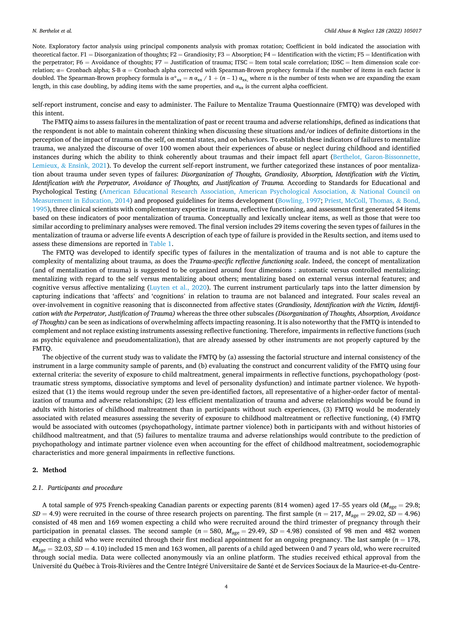Note. Exploratory factor analysis using principal components analysis with promax rotation; Coefficient in bold indicated the association with theoretical factor. F1 = Disorganization of thoughts; F2 = Grandiosity; F3 = Absorption; F4 = Identification with the victim; F5 = Identification with the perpetrator; F6 = Avoidance of thoughts; F7 = Justification of trauma; ITSC = Item total scale correlation; IDSC = Item dimension scale correlation;  $\alpha$  = Cronbach alpha; S-B  $\alpha$  = Cronbach alpha corrected with Spearman-Brown prophecy formula if the number of items in each factor is doubled. The Spearman-Brown prophecy formula is  $\alpha^*_{xx} = n \alpha_{xx} / 1 + (n-1) \alpha_{xx}$ , where n is the number of tests when we are expanding the exam length, in this case doubling, by adding items with the same properties, and  $\alpha_{xx}$  is the current alpha coefficient.

self-report instrument, concise and easy to administer. The Failure to Mentalize Trauma Questionnaire (FMTQ) was developed with this intent.

The FMTQ aims to assess failures in the mentalization of past or recent trauma and adverse relationships, defined as indications that the respondent is not able to maintain coherent thinking when discussing these situations and/or indices of definite distortions in the perception of the impact of trauma on the self, on mental states, and on behaviors. To establish these indicators of failures to mentalize trauma, we analyzed the discourse of over 100 women about their experiences of abuse or neglect during childhood and identified instances during which the ability to think coherently about traumas and their impact fell apart [\(Berthelot, Garon-Bissonnette,](#page-11-0) Lemieux, & [Ensink, 2021\)](#page-11-0). To develop the current self-report instrument, we further categorized these instances of poor mentalization about trauma under seven types of failures: *Disorganization of Thoughts, Grandiosity, Absorption, Identification with the Victim,*  Identification with the Perpetrator, Avoidance of Thoughts, and Justification of Trauma. According to Standards for Educational and Psychological Testing ([American Educational Research Association, American Psychological Association,](#page-11-0) & National Council on [Measurement in Education, 2014](#page-11-0)) and proposed guidelines for items development [\(Bowling, 1997;](#page-11-0) [Priest, McColl, Thomas,](#page-12-0) & Bond, [1995\)](#page-12-0), three clinical scientists with complementary expertise in trauma, reflective functioning, and assessment first generated 54 items based on these indicators of poor mentalization of trauma. Conceptually and lexically unclear items, as well as those that were too similar according to preliminary analyses were removed. The final version includes 29 items covering the seven types of failures in the mentalization of trauma or adverse life events A description of each type of failure is provided in the Results section, and items used to assess these dimensions are reported in [Table 1](#page-2-0).

The FMTQ was developed to identify specific types of failures in the mentalization of trauma and is not able to capture the complexity of mentalizing about trauma, as does the *Trauma-specific reflective functioning scale*. Indeed, the concept of mentalization (and of mentalization of trauma) is suggested to be organized around four dimensions : automatic versus controlled mentalizing; mentalizing with regard to the self versus mentalizing about others; mentalizing based on external versus internal features; and cognitive versus affective mentalizing [\(Luyten et al., 2020](#page-12-0)). The current instrument particularly taps into the latter dimension by capturing indications that 'affects' and 'cognitions' in relation to trauma are not balanced and integrated. Four scales reveal an over-involvement in cognitive reasoning that is disconnected from affective states (*Grandiosity, Identification with the Victim, Identification with the Perpetrator, Justification of Trauma)* whereas the three other subscales *(Disorganization of Thoughts, Absorption, Avoidance of Thoughts)* can be seen as indications of overwhelming affects impacting reasoning. It is also noteworthy that the FMTQ is intended to complement and not replace existing instruments assessing reflective functioning. Therefore, impairments in reflective functions (such as psychic equivalence and pseudomentalization), that are already assessed by other instruments are not properly captured by the FMTQ.

The objective of the current study was to validate the FMTQ by (a) assessing the factorial structure and internal consistency of the instrument in a large community sample of parents, and (b) evaluating the construct and concurrent validity of the FMTQ using four external criteria: the severity of exposure to child maltreatment, general impairments in reflective functions, psychopathology (posttraumatic stress symptoms, dissociative symptoms and level of personality dysfunction) and intimate partner violence. We hypothesized that (1) the items would regroup under the seven pre-identified factors, all representative of a higher-order factor of mentalization of trauma and adverse relationships; (2) less efficient mentalization of trauma and adverse relationships would be found in adults with histories of childhood maltreatment than in participants without such experiences, (3) FMTQ would be moderately associated with related measures assessing the severity of exposure to childhood maltreatment or reflective functioning, (4) FMTQ would be associated with outcomes (psychopathology, intimate partner violence) both in participants with and without histories of childhood maltreatment, and that (5) failures to mentalize trauma and adverse relationships would contribute to the prediction of psychopathology and intimate partner violence even when accounting for the effect of childhood maltreatment, sociodemographic characteristics and more general impairments in reflective functions.

# **2. Method**

# *2.1. Participants and procedure*

A total sample of 975 French-speaking Canadian parents or expecting parents (814 women) aged 17–55 years old (*M*age = 29.8;  $SD = 4.9$ ) were recruited in the course of three research projects on parenting. The first sample ( $n = 217$ ,  $M_{\text{age}} = 29.02$ ,  $SD = 4.96$ ) consisted of 48 men and 169 women expecting a child who were recruited around the third trimester of pregnancy through their participation in prenatal classes. The second sample ( $n = 580$ ,  $M_{\text{age}} = 29.49$ ,  $SD = 4.98$ ) consisted of 98 men and 482 women expecting a child who were recruited through their first medical appointment for an ongoing pregnancy. The last sample  $(n = 178,$  $M_{\text{age}} = 32.03$ ,  $SD = 4.10$ ) included 15 men and 163 women, all parents of a child aged between 0 and 7 years old, who were recruited through social media. Data were collected anonymously via an online platform. The studies received ethical approval from the Université du Québec à Trois-Rivières and the Centre Intégré Universitaire de Santé et de Services Sociaux de la Maurice-et-du-Centre-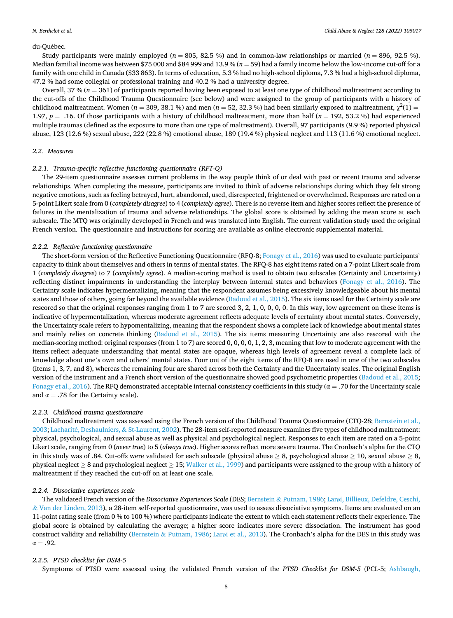#### du-Québec.

Study participants were mainly employed ( $n = 805$ , 82.5 %) and in common-law relationships or married ( $n = 896$ , 92.5 %). Median familial income was between \$75 000 and \$84 999 and 13.9 % (*n* = 59) had a family income below the low-income cut-off for a family with one child in Canada (\$33 863). In terms of education, 5.3 % had no high-school diploma, 7.3 % had a high-school diploma, 47.2 % had some collegial or professional training and 40.2 % had a university degree.

Overall,  $37\%$  ( $n = 361$ ) of participants reported having been exposed to at least one type of childhood maltreatment according to the cut-offs of the Childhood Trauma Questionnaire (see below) and were assigned to the group of participants with a history of childhood maltreatment. Women ( $n = 309, 38.1\%$ ) and men ( $n = 52, 32.3\%$ ) had been similarly exposed to maltreatment,  $\chi^2(1)$ 1.97,  $p = .16$ . Of those participants with a history of childhood maltreatment, more than half ( $n = 192, 53.2$  %) had experienced multiple traumas (defined as the exposure to more than one type of maltreatment). Overall, 97 participants (9.9 %) reported physical abuse, 123 (12.6 %) sexual abuse, 222 (22.8 %) emotional abuse, 189 (19.4 %) physical neglect and 113 (11.6 %) emotional neglect.

# *2.2. Measures*

# *2.2.1. Trauma-specific reflective functioning questionnaire (RFT-Q)*

The 29-item questionnaire assesses current problems in the way people think of or deal with past or recent trauma and adverse relationships. When completing the measure, participants are invited to think of adverse relationships during which they felt strong negative emotions, such as feeling betrayed, hurt, abandoned, used, disrespected, frightened or overwhelmed. Responses are rated on a 5-point Likert scale from 0 (*completely disagree*) to 4 (*completely agree*). There is no reverse item and higher scores reflect the presence of failures in the mentalization of trauma and adverse relationships. The global score is obtained by adding the mean score at each subscale. The MTQ was originally developed in French and was translated into English. The current validation study used the original French version. The questionnaire and instructions for scoring are available as online electronic supplemental material.

### *2.2.2. Reflective functioning questionnaire*

The short-form version of the Reflective Functioning Questionnaire (RFQ-8; [Fonagy et al., 2016](#page-12-0)) was used to evaluate participants' capacity to think about themselves and others in terms of mental states. The RFQ-8 has eight items rated on a 7-point Likert scale from 1 (*completely disagree*) to 7 (*completely agree*). A median-scoring method is used to obtain two subscales (Certainty and Uncertainty) reflecting distinct impairments in understanding the interplay between internal states and behaviors ([Fonagy et al., 2016](#page-12-0)). The Certainty scale indicates hypermentalizing, meaning that the respondent assumes being excessively knowledgeable about his mental states and those of others, going far beyond the available evidence ([Badoud et al., 2015\)](#page-11-0). The six items used for the Certainty scale are rescored so that the original responses ranging from 1 to 7 are scored 3, 2, 1, 0, 0, 0, 0. In this way, low agreement on these items is indicative of hypermentalization, whereas moderate agreement reflects adequate levels of certainty about mental states. Conversely, the Uncertainty scale refers to hypomentalizing, meaning that the respondent shows a complete lack of knowledge about mental states and mainly relies on concrete thinking ([Badoud et al., 2015\)](#page-11-0). The six items measuring Uncertainty are also rescored with the median-scoring method: original responses (from 1 to 7) are scored 0, 0, 0, 0, 1, 2, 3, meaning that low to moderate agreement with the items reflect adequate understanding that mental states are opaque, whereas high levels of agreement reveal a complete lack of knowledge about one's own and others' mental states. Four out of the eight items of the RFQ-8 are used in one of the two subscales (items 1, 3, 7, and 8), whereas the remaining four are shared across both the Certainty and the Uncertainty scales. The original English version of the instrument and a French short version of the questionnaire showed good psychometric properties ([Badoud et al., 2015](#page-11-0); [Fonagy et al., 2016](#page-12-0)). The RFQ demonstrated acceptable internal consistency coefficients in this study ( $\alpha = .70$  for the Uncertainty scale and  $\alpha = .78$  for the Certainty scale).

#### *2.2.3. Childhood trauma questionnaire*

Childhood maltreatment was assessed using the French version of the Childhood Trauma Questionnaire (CTQ-28; [Bernstein et al.,](#page-11-0) [2003;](#page-11-0) Lacharité, Deshaulniers, & [St-Laurent, 2002\)](#page-12-0). The 28-item self-reported measure examines five types of childhood maltreatment: physical, psychological, and sexual abuse as well as physical and psychological neglect. Responses to each item are rated on a 5-point Likert scale, ranging from 0 (*never true*) to 5 (*always true*). Higher scores reflect more severe trauma. The Cronbach's alpha for the CTQ in this study was of .84. Cut-offs were validated for each subscale (physical abuse  $\geq 8$ , psychological abuse  $\geq 10$ , sexual abuse  $\geq 8$ , physical neglect  $\geq 8$  and psychological neglect  $\geq 15$ ; [Walker et al., 1999\)](#page-12-0) and participants were assigned to the group with a history of maltreatment if they reached the cut-off on at least one scale.

## *2.2.4. Dissociative experiences scale*

The validated French version of the *Dissociative Experiences Scale* (DES; Bernstein & [Putnam, 1986;](#page-11-0) Larø[i, Billieux, Defeldre, Ceschi,](#page-12-0) & [Van der Linden, 2013](#page-12-0)), a 28-item self-reported questionnaire, was used to assess dissociative symptoms. Items are evaluated on an 11-point rating scale (from 0 % to 100 %) where participants indicate the extent to which each statement reflects their experience. The global score is obtained by calculating the average; a higher score indicates more severe dissociation. The instrument has good construct validity and reliability (Bernstein & [Putnam, 1986;](#page-11-0) Larø[i et al., 2013\)](#page-12-0). The Cronbach's alpha for the DES in this study was  $\alpha = .92$ .

## *2.2.5. PTSD checklist for DSM-5*

Symptoms of PTSD were assessed using the validated French version of the *PTSD Checklist for DSM-5* (PCL-5; [Ashbaugh,](#page-11-0)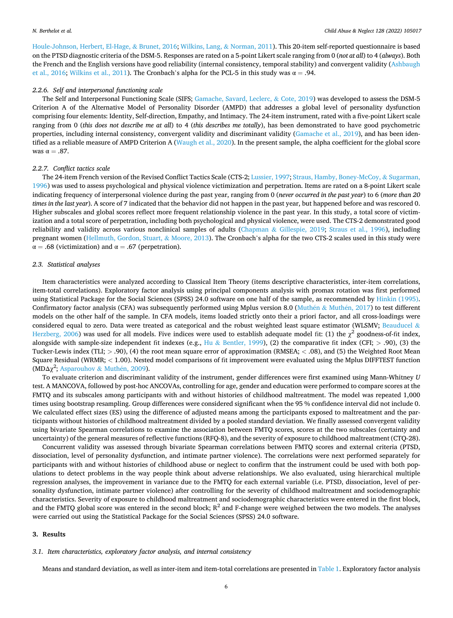[Houle-Johnson, Herbert, El-Hage,](#page-11-0) & Brunet, 2016; [Wilkins, Lang,](#page-12-0) & Norman, 2011). This 20-item self-reported questionnaire is based on the PTSD diagnostic criteria of the DSM-5. Responses are rated on a 5-point Likert scale ranging from 0 (*not at all*) to 4 (*always*). Both the French and the English versions have good reliability (internal consistency, temporal stability) and convergent validity [\(Ashbaugh](#page-11-0) [et al., 2016](#page-11-0); [Wilkins et al., 2011](#page-12-0)). The Cronbach's alpha for the PCL-5 in this study was  $\alpha = .94$ .

### *2.2.6. Self and interpersonal functioning scale*

The Self and Interpersonal Functioning Scale (SIFS; [Gamache, Savard, Leclerc,](#page-12-0) & Cote, 2019) was developed to assess the DSM-5 Criterion A of the Alternative Model of Personality Disorder (AMPD) that addresses a global level of personality dysfunction comprising four elements: Identity, Self-direction, Empathy, and Intimacy. The 24-item instrument, rated with a five-point Likert scale ranging from 0 (*this does not describe me at all*) to 4 (*this describes me totally*), has been demonstrated to have good psychometric properties, including internal consistency, convergent validity and discriminant validity [\(Gamache et al., 2019\)](#page-12-0), and has been iden-tified as a reliable measure of AMPD Criterion A [\(Waugh et al., 2020](#page-12-0)). In the present sample, the alpha coefficient for the global score was  $\alpha = .87$ .

# *2.2.7. Conflict tactics scale*

The 24-item French version of the Revised Conflict Tactics Scale (CTS-2; [Lussier, 1997](#page-12-0); [Straus, Hamby, Boney-McCoy,](#page-12-0) & Sugarman, [1996\)](#page-12-0) was used to assess psychological and physical violence victimization and perpetration. Items are rated on a 8-point Likert scale indicating frequency of interpersonal violence during the past year, ranging from 0 (*never occurred in the past year*) to 6 (*more than 20 times in the last year*). A score of 7 indicated that the behavior did not happen in the past year, but happened before and was rescored 0. Higher subscales and global scores reflect more frequent relationship violence in the past year. In this study, a total score of victimization and a total score of perpetration, including both psychological and physical violence, were used. The CTS-2 demonstrated good reliability and validity across various nonclinical samples of adults (Chapman & [Gillespie, 2019](#page-11-0); [Straus et al., 1996](#page-12-0)), including pregnant women ([Hellmuth, Gordon, Stuart,](#page-12-0) & Moore, 2013). The Cronbach's alpha for the two CTS-2 scales used in this study were  $\alpha = .68$  (victimization) and  $\alpha = .67$  (perpetration).

#### *2.3. Statistical analyses*

Item characteristics were analyzed according to Classical Item Theory (items descriptive characteristics, inter-item correlations, item-total correlations). Exploratory factor analysis using principal components analysis with promax rotation was first performed using Statistical Package for the Social Sciences (SPSS) 24.0 software on one half of the sample, as recommended by [Hinkin \(1995\)](#page-12-0). Confirmatory factor analysis (CFA) was subsequently performed using Mplus version 8.0 (Muthén & Muthén, 2017) to test different models on the other half of the sample. In CFA models, items loaded strictly onto their a priori factor, and all cross-loadings were considered equal to zero. Data were treated as categorical and the robust weighted least square estimator (WLSMV; [Beauducel](#page-11-0)  $\&$ [Herzberg, 2006](#page-11-0)) was used for all models. Five indices were used to establish adequate model fit: (1) the  $\chi^2$  goodness-of-fit index, alongside with sample-size independent fit indexes (e.g., Hu & [Bentler, 1999](#page-12-0)), (2) the comparative fit index (CFI; *>* .90), (3) the Tucker-Lewis index (TLI; *>* .90), (4) the root mean square error of approximation (RMSEA; *<* .08), and (5) the Weighted Root Mean Square Residual (WRMR; *<* 1.00). Nested model comparisons of fit improvement were evaluated using the Mplus DIFFTEST function (MD $\Delta \chi^2$ ; [Asparouhov](#page-11-0) & Muthén, 2009).

To evaluate criterion and discriminant validity of the instrument, gender differences were first examined using Mann-Whitney *U*  test. A MANCOVA, followed by post-hoc ANCOVAs, controlling for age, gender and education were performed to compare scores at the FMTQ and its subscales among participants with and without histories of childhood maltreatment. The model was repeated 1,000 times using bootstrap resampling. Group differences were considered significant when the 95 % confidence interval did not include 0. We calculated effect sizes (ES) using the difference of adjusted means among the participants exposed to maltreatment and the participants without histories of childhood maltreatment divided by a pooled standard deviation. We finally assessed convergent validity using bivariate Spearman correlations to examine the association between FMTQ scores, scores at the two subscales (certainty and uncertainty) of the general measures of reflective functions (RFQ-8), and the severity of exposure to childhood maltreatment (CTQ-28).

Concurrent validity was assessed through bivariate Spearman correlations between FMTQ scores and external criteria (PTSD, dissociation, level of personality dysfunction, and intimate partner violence). The correlations were next performed separately for participants with and without histories of childhood abuse or neglect to confirm that the instrument could be used with both populations to detect problems in the way people think about adverse relationships. We also evaluated, using hierarchical multiple regression analyses, the improvement in variance due to the FMTQ for each external variable (i.e. PTSD, dissociation, level of personality dysfunction, intimate partner violence) after controlling for the severity of childhood maltreatment and sociodemographic characteristics. Severity of exposure to childhood maltreatment and sociodemographic characteristics were entered in the first block, and the FMTQ global score was entered in the second block;  $R^2$  and F-change were weighed between the two models. The analyses were carried out using the Statistical Package for the Social Sciences (SPSS) 24.0 software.

# **3. Results**

### *3.1. Item characteristics, exploratory factor analysis, and internal consistency*

Means and standard deviation, as well as inter-item and item-total correlations are presented in [Table 1.](#page-2-0) Exploratory factor analysis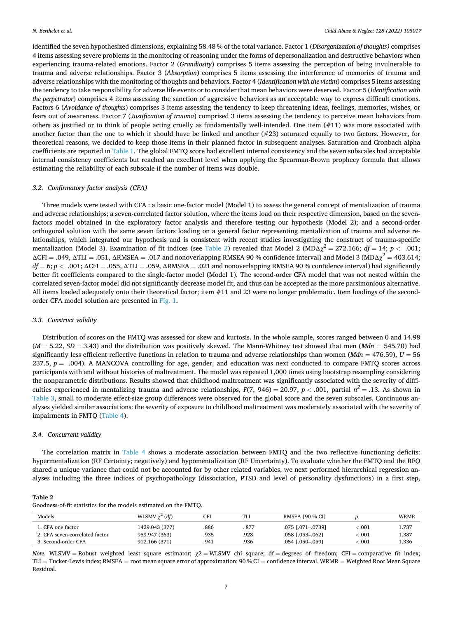identified the seven hypothesized dimensions, explaining 58.48 % of the total variance. Factor 1 (*Disorganization of thoughts)* comprises 4 items assessing severe problems in the monitoring of reasoning under the forms of depersonalization and destructive behaviors when experiencing trauma-related emotions. Factor 2 (*Grandiosity*) comprises 5 items assessing the perception of being invulnerable to trauma and adverse relationships. Factor 3 (*Absorption*) comprises 5 items assessing the interference of memories of trauma and adverse relationships with the monitoring of thoughts and behaviors. Factor 4 (*Identification with the victim*) comprises 5 items assessing the tendency to take responsibility for adverse life events or to consider that mean behaviors were deserved. Factor 5 (*Identification with the perpetrator*) comprises 4 items assessing the sanction of aggressive behaviors as an acceptable way to express difficult emotions. Factors 6 (*Avoidance of thoughts*) comprises 3 items assessing the tendency to keep threatening ideas, feelings, memories, wishes, or fears out of awareness. Factor 7 (*Justification of trauma*) comprised 3 items assessing the tendency to perceive mean behaviors from others as justified or to think of people acting cruelly as fundamentally well-intended. One item (#11) was more associated with another factor than the one to which it should have be linked and another (#23) saturated equally to two factors. However, for theoretical reasons, we decided to keep those items in their planned factor in subsequent analyses. Saturation and Cronbach alpha coefficients are reported in [Table 1.](#page-2-0) The global FMTQ score had excellent internal consistency and the seven subscales had acceptable internal consistency coefficients but reached an excellent level when applying the Spearman-Brown prophecy formula that allows estimating the reliability of each subscale if the number of items was double.

# *3.2. Confirmatory factor analysis (CFA)*

Three models were tested with CFA : a basic one-factor model (Model 1) to assess the general concept of mentalization of trauma and adverse relationships; a seven-correlated factor solution, where the items load on their respective dimension, based on the sevenfactors model obtained in the exploratory factor analysis and therefore testing our hypothesis (Model 2); and a second-order orthogonal solution with the same seven factors loading on a general factor representing mentalization of trauma and adverse relationships, which integrated our hypothesis and is consistent with recent studies investigating the construct of trauma-specific mentalization (Model 3). Examination of fit indices (see Table 2) revealed that Model 2 (MD $\Delta \chi^2 = 272.166$ ;  $df = 14$ ;  $p < .001$ ;  $\Delta$ CFI = .049,  $\Delta$ TLI = .051,  $\Delta$ RMSEA = .017 and nonoverlapping RMSEA 90 % confidence interval) and Model 3 (MD $\Delta$  $\gamma^2$  = 403.614;  $df = 6$ ;  $p < .001$ ;  $\Delta$ CFI = .055,  $\Delta$ TLI = .059,  $\Delta$ RMSEA = .021 and nonoverlapping RMSEA 90 % confidence interval) had significantly better fit coefficients compared to the single-factor model (Model 1). The second-order CFA model that was not nested within the correlated seven-factor model did not significantly decrease model fit, and thus can be accepted as the more parsimonious alternative. All items loaded adequately onto their theoretical factor; item #11 and 23 were no longer problematic. Item loadings of the secondorder CFA model solution are presented in [Fig. 1.](#page-7-0)

## *3.3. Construct validity*

Distribution of scores on the FMTQ was assessed for skew and kurtosis. In the whole sample, scores ranged between 0 and 14.98 (*M* = 5.22, *SD* = 3.43) and the distribution was positively skewed. The Mann-Whitney test showed that men (*Mdn* = 545.70) had significantly less efficient reflective functions in relation to trauma and adverse relationships than women ( $Mdn = 476.59$ ),  $U = 56$ 237.5, *p* = .004). A MANCOVA controlling for age, gender, and education was next conducted to compare FMTQ scores across participants with and without histories of maltreatment. The model was repeated 1,000 times using bootstrap resampling considering the nonparametric distributions. Results showed that childhood maltreatment was significantly associated with the severity of difficulties experienced in mentalizing trauma and adverse relationships,  $F(7, 946) = 20.97$ ,  $p < .001$ , partial  $n^2 = .13$ . As shown in [Table 3](#page-8-0), small to moderate effect-size group differences were observed for the global score and the seven subscales. Continuous analyses yielded similar associations: the severity of exposure to childhood maltreatment was moderately associated with the severity of impairments in FMTQ [\(Table 4\)](#page-8-0).

# *3.4. Concurrent validity*

The correlation matrix in [Table 4](#page-8-0) shows a moderate association between FMTQ and the two reflective functioning deficits: hypermentalization (RF Certainty; negatively) and hypomentalization (RF Uncertainty). To evaluate whether the FMTQ and the RFQ shared a unique variance that could not be accounted for by other related variables, we next performed hierarchical regression analyses including the three indices of psychopathology (dissociation, PTSD and level of personality dysfunctions) in a first step,

# **Table 2**

| Goodness-of-fit statistics for the models estimated on the FMTQ. |  |  |  |
|------------------------------------------------------------------|--|--|--|
|------------------------------------------------------------------|--|--|--|

| Models                         | WLSMV $\gamma^2$ (df) | CFI  | TI J  | <b>RMSEA [90 % CI]</b> |         | <b>WRMR</b> |
|--------------------------------|-----------------------|------|-------|------------------------|---------|-------------|
| 1. CFA one factor              | 1429.043 (377)        | 886  | . 877 | .075 [.071 - 0739]     | < 001   | 1.737       |
| 2. CFA seven-correlated factor | 959.947 (363)         | 935  | 928   | .058 [.053-.062]       | < 0.001 | 1.387       |
| 3. Second-order CFA            | 912.166 (371)         | .941 | .936  | $.054$ $[.050 - .059]$ | < 001   | l.336       |

*Note*. WLSMV = Robust weighted least square estimator;  $χ2 =$  WLSMV chi square; df = degrees of freedom; CFI = comparative fit index; TLI = Tucker-Lewis index; RMSEA = root mean square error of approximation; 90 % CI = confidence interval. WRMR = Weighted Root Mean Square Residual.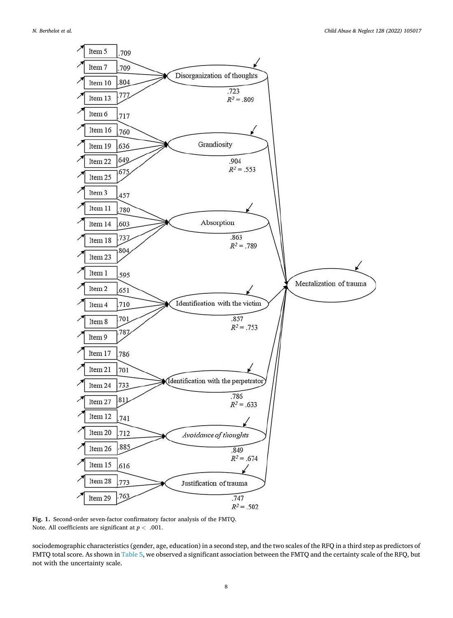<span id="page-7-0"></span>

**Fig. 1.** Second-order seven-factor confirmatory factor analysis of the FMTQ. Note. All coefficients are significant at *p <* .001.

sociodemographic characteristics (gender, age, education) in a second step, and the two scales of the RFQ in a third step as predictors of FMTQ total score. As shown in [Table 5,](#page-8-0) we observed a significant association between the FMTQ and the certainty scale of the RFQ, but not with the uncertainty scale.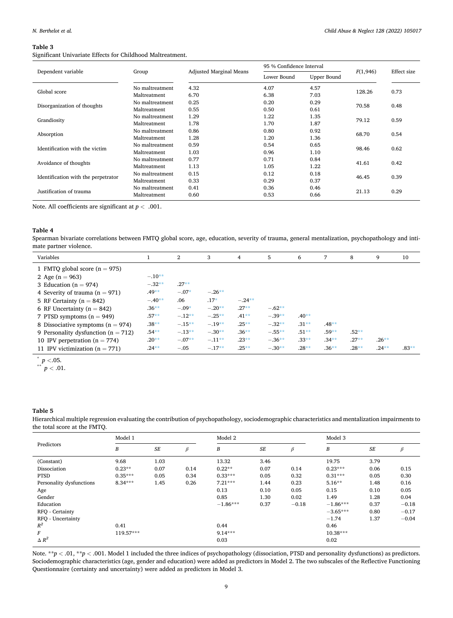#### <span id="page-8-0"></span>**Table 3**

Significant Univariate Effects for Childhood Maltreatment.

|                                     |                 |                                | 95 % Confidence Interval |             | F(1,946) | Effect size |  |
|-------------------------------------|-----------------|--------------------------------|--------------------------|-------------|----------|-------------|--|
| Dependent variable                  | Group           | <b>Adjusted Marginal Means</b> | Lower Bound              | Upper Bound |          |             |  |
| Global score                        | No maltreatment | 4.32                           | 4.07                     | 4.57        | 128.26   | 0.73        |  |
|                                     | Maltreatment    | 6.70                           | 6.38                     | 7.03        |          |             |  |
| Disorganization of thoughts         | No maltreatment | 0.25                           | 0.20                     | 0.29        | 70.58    | 0.48        |  |
|                                     | Maltreatment    | 0.55                           | 0.50                     | 0.61        |          |             |  |
| Grandiosity                         | No maltreatment | 1.29                           | 1.22                     | 1.35        | 79.12    | 0.59        |  |
|                                     | Maltreatment    | 1.78                           | 1.70                     | 1.87        |          |             |  |
| Absorption                          | No maltreatment | 0.86                           | 0.80                     | 0.92        | 68.70    | 0.54        |  |
|                                     | Maltreatment    | 1.28                           | 1.20                     | 1.36        |          |             |  |
| Identification with the victim      | No maltreatment | 0.59                           | 0.54                     | 0.65        | 98.46    | 0.62        |  |
|                                     | Maltreatment    | 1.03                           | 0.96                     | 1.10        |          |             |  |
| Avoidance of thoughts               | No maltreatment | 0.77                           | 0.71                     | 0.84        | 41.61    | 0.42        |  |
|                                     | Maltreatment    | 1.13                           | 1.05                     | 1.22        |          |             |  |
| Identification with the perpetrator | No maltreatment | 0.15                           | 0.12                     | 0.18        | 46.45    | 0.39        |  |
|                                     | Maltreatment    | 0.33                           | 0.29                     | 0.37        |          |             |  |
| Justification of trauma             | No maltreatment | 0.41                           | 0.36                     | 0.46        | 21.13    | 0.29        |  |
|                                     | Maltreatment    | 0.60                           | 0.53                     | 0.66        |          |             |  |

Note. All coefficients are significant at  $p < .001.$ 

## **Table 4**

Spearman bivariate correlations between FMTQ global score, age, education, severity of trauma, general mentalization, psychopathology and intimate partner violence.

| Variables                               |          | $\overline{2}$ | 3        | 4        | 5        | 6       | 7        | 8       | 9        | 10      |
|-----------------------------------------|----------|----------------|----------|----------|----------|---------|----------|---------|----------|---------|
| 1 FMTQ global score $(n = 975)$         |          |                |          |          |          |         |          |         |          |         |
| 2 Age $(n = 963)$                       | $-.10**$ |                |          |          |          |         |          |         |          |         |
| 3 Education ( $n = 974$ )               | $-.32**$ | $.27**$        |          |          |          |         |          |         |          |         |
| 4 Severity of trauma $(n = 971)$        | $.49**$  | $-.07*$        | $-.26**$ |          |          |         |          |         |          |         |
| 5 RF Certainty ( $n = 842$ )            | $-.40**$ | .06            | $.17*$   | $-.24**$ |          |         |          |         |          |         |
| 6 RF Uncertainty ( $n = 842$ )          | $.36***$ | $-.09*$        | $-.20**$ | $.27**$  | $-.62**$ |         |          |         |          |         |
| 7 PTSD symptoms $(n = 949)$             | $.57**$  | $-.12**$       | $-.25**$ | $.41**$  | $-.39**$ | $.40**$ |          |         |          |         |
| 8 Dissociative symptoms ( $n = 974$ )   | $.38**$  | $-.15**$       | $-.19**$ | $.25**$  | $-.32**$ | $.31**$ | $.48**$  |         |          |         |
| 9 Personality dysfunction ( $n = 712$ ) | $.54**$  | $-.13**$       | $-.30**$ | $.36**$  | $-.55**$ | $.51**$ | $.59**$  | $.52**$ |          |         |
| 10 IPV perpetration $(n = 774)$         | $.20**$  | $-.07**$       | $-.11**$ | $.23**$  | $-.36**$ | $.33**$ | $.34***$ | $.27**$ | $.26**$  |         |
| 11 IPV victimization ( $n = 771$ )      | $.24***$ | $-.05$         | $-.17**$ | $.25**$  | $-.30**$ | $.28**$ | $.36***$ | $.28**$ | $.24***$ | $.83**$ |

 $\int_{0}^{*} p < .05$ .<br>*p* < .01.

# **Table 5**

Hierarchical multiple regression evaluating the contribution of psychopathology, sociodemographic characteristics and mentalization impairments to the total score at the FMTQ.

|                          | Model 1   |        |         | Model 2    |           |         | Model 3    |           |         |  |
|--------------------------|-----------|--------|---------|------------|-----------|---------|------------|-----------|---------|--|
| Predictors               | B         | $S\!E$ | $\beta$ | B          | <b>SE</b> | $\beta$ | B          | $\cal SE$ | β       |  |
| (Constant)               | 9.68      | 1.03   |         | 13.32      | 3.46      |         | 19.75      | 3.79      |         |  |
| Dissociation             | $0.23**$  | 0.07   | 0.14    | $0.22**$   | 0.07      | 0.14    | $0.23***$  | 0.06      | 0.15    |  |
| <b>PTSD</b>              | $0.35***$ | 0.05   | 0.34    | $0.33***$  | 0.05      | 0.32    | $0.31***$  | 0.05      | 0.30    |  |
| Personality dysfunctions | $8.34***$ | 1.45   | 0.26    | $7.21***$  | 1.44      | 0.23    | $5.16**$   | 1.48      | 0.16    |  |
| Age                      |           |        |         | 0.13       | 0.10      | 0.05    | 0.15       | 0.10      | 0.05    |  |
| Gender                   |           |        |         | 0.85       | 1.30      | 0.02    | 1.49       | 1.28      | 0.04    |  |
| Education                |           |        |         | $-1.86***$ | 0.37      | $-0.18$ | $-1.86***$ | 0.37      | $-0.18$ |  |
| RFQ - Certainty          |           |        |         |            |           |         | $-3.65***$ | 0.80      | $-0.17$ |  |
| RFQ - Uncertainty        |           |        |         |            |           |         | $-1.74$    | 1.37      | $-0.04$ |  |
| $R^2$                    | 0.41      |        |         | 0.44       |           |         | 0.46       |           |         |  |
| F                        | 119.57*** |        |         | $9.14***$  |           |         | $10.38***$ |           |         |  |
| $\triangle R^2$          |           |        |         | 0.03       |           |         | 0.02       |           |         |  |

Note. \*\**p* < .01, \*\**p* < .001. Model 1 included the three indices of psychopathology (dissociation, PTSD and personality dysfunctions) as predictors. Sociodemographic characteristics (age, gender and education) were added as predictors in Model 2. The two subscales of the Reflective Functioning Questionnaire (certainty and uncertainty) were added as predictors in Model 3.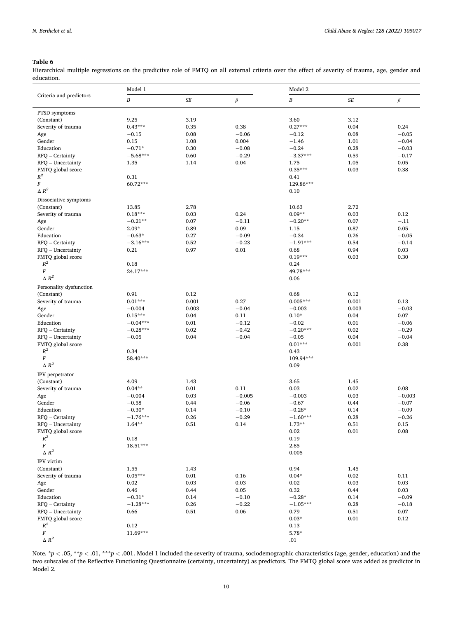## <span id="page-9-0"></span>**Table 6**

Hierarchical multiple regressions on the predictive role of FMTQ on all external criteria over the effect of severity of trauma, age, gender and education.  $\overline{\phantom{0}}$ 

|                         | Model 1          |           |          | Model 2          |        |          |  |  |
|-------------------------|------------------|-----------|----------|------------------|--------|----------|--|--|
| Criteria and predictors | $\boldsymbol{B}$ | $\cal SE$ | $\beta$  | $\boldsymbol{B}$ | $S\!E$ | $\beta$  |  |  |
| PTSD symptoms           |                  |           |          |                  |        |          |  |  |
| (Constant)              | 9.25             | 3.19      |          | 3.60             | 3.12   |          |  |  |
| Severity of trauma      | $0.43***$        | 0.35      | 0.38     | $0.27***$        | 0.04   | 0.24     |  |  |
| Age                     | $-0.15$          | 0.08      | $-0.06$  | $-0.12$          | 0.08   | $-0.05$  |  |  |
| Gender                  | 0.15             | 1.08      | 0.004    | $-1.46$          | 1.01   | $-0.04$  |  |  |
| Education               | $-0.71*$         | 0.30      | $-0.08$  | $-0.24$          | 0.28   | $-0.03$  |  |  |
| RFQ - Certainty         | $-5.68***$       | 0.60      | $-0.29$  | $-3.37***$       | 0.59   | $-0.17$  |  |  |
| RFQ - Uncertainty       | 1.35             | 1.14      | 0.04     | 1.75             | 1.05   | 0.05     |  |  |
| FMTQ global score       |                  |           |          | $0.35***$        | 0.03   | 0.38     |  |  |
| $R^2$                   | 0.31             |           |          | 0.41             |        |          |  |  |
| $\cal F$                | 60.72***         |           |          | 129.86***        |        |          |  |  |
| $\triangle R^2$         |                  |           |          | 0.10             |        |          |  |  |
| Dissociative symptoms   |                  |           |          |                  |        |          |  |  |
| (Constant)              | 13.85            | 2.78      |          | 10.63            | 2.72   |          |  |  |
| Severity of trauma      | $0.18***$        | 0.03      | 0.24     | $0.09**$         | 0.03   | 0.12     |  |  |
| Age                     | $-0.21**$        | 0.07      | $-0.11$  | $-0.20**$        | 0.07   | $-.11$   |  |  |
| Gender                  | $2.09*$          | 0.89      | 0.09     | 1.15             | 0.87   | 0.05     |  |  |
| Education               | $-0.63*$         | 0.27      | $-0.09$  | $-0.34$          | 0.26   | $-0.05$  |  |  |
| RFQ - Certainty         | $-3.16***$       | 0.52      | $-0.23$  | $-1.91***$       | 0.54   | $-0.14$  |  |  |
| RFQ - Uncertainty       | 0.21             | 0.97      | 0.01     | 0.68             | 0.94   | 0.03     |  |  |
| FMTQ global score       |                  |           |          | $0.19***$        | 0.03   | 0.30     |  |  |
| $R^2$                   | 0.18             |           |          | 0.24             |        |          |  |  |
| $\cal F$                | 24.17***         |           |          | 49.78***         |        |          |  |  |
| $\Delta$ $R^2$          |                  |           |          | 0.06             |        |          |  |  |
| Personality dysfunction |                  |           |          |                  |        |          |  |  |
| (Constant)              | 0.91             | 0.12      |          | 0.68             | 0.12   |          |  |  |
| Severity of trauma      | $0.01***$        | 0.001     | 0.27     | $0.005***$       | 0.001  | 0.13     |  |  |
| Age                     | $-0.004$         | 0.003     | $-0.04$  | $-0.003$         | 0.003  | $-0.03$  |  |  |
| Gender                  | $0.15***$        | 0.04      | 0.11     | $0.10*$          | 0.04   | 0.07     |  |  |
| Education               | $-0.04***$       | 0.01      | $-0.12$  | $-0.02$          | 0.01   | $-0.06$  |  |  |
| RFQ - Certainty         | $-0.28***$       | 0.02      | $-0.42$  | $-0.20***$       | 0.02   | $-0.29$  |  |  |
| RFQ - Uncertainty       | $-0.05$          | 0.04      | $-0.04$  | $-0.05$          | 0.04   | $-0.04$  |  |  |
| FMTQ global score       |                  |           |          | $0.01***$        | 0.001  | 0.38     |  |  |
| $\mathbb{R}^2$          | 0.34             |           |          | 0.43             |        |          |  |  |
| $\cal F$                | 58.40***         |           |          | 109.94***        |        |          |  |  |
| $\triangle R^2$         |                  |           |          | 0.09             |        |          |  |  |
| IPV perpetrator         |                  |           |          |                  |        |          |  |  |
| (Constant)              | 4.09             | 1.43      |          | 3.65             | 1.45   |          |  |  |
| Severity of trauma      | $0.04**$         | 0.01      | 0.11     | 0.03             | 0.02   | 0.08     |  |  |
| Age                     | $-0.004$         | 0.03      | $-0.005$ | $-0.003$         | 0.03   | $-0.003$ |  |  |
| Gender                  | $-0.58$          | 0.44      | $-0.06$  | $-0.67$          | 0.44   | $-0.07$  |  |  |
| Education               | $-0.30*$         | 0.14      | $-0.10$  | $-0.28*$         | 0.14   | $-0.09$  |  |  |
| RFO - Certainty         | $-1.76***$       | 0.26      | $-0.29$  | $-1.60***$       | 0.28   | $-0.26$  |  |  |
| RFQ - Uncertainty       | $1.64***$        | 0.51      | 0.14     | $1.73**$         | 0.51   | 0.15     |  |  |
| FMTQ global score       |                  |           |          | 0.02             | 0.01   | 0.08     |  |  |
| $\mathbb{R}^2$          | 0.18             |           |          | 0.19             |        |          |  |  |
| $\cal F$                | 18.51***         |           |          | 2.85             |        |          |  |  |
| $\triangle R^2$         |                  |           |          | 0.005            |        |          |  |  |
| IPV victim              |                  |           |          |                  |        |          |  |  |
| (Constant)              | 1.55             | 1.43      |          | 0.94             | 1.45   |          |  |  |
| Severity of trauma      | $0.05***$        | 0.01      | 0.16     | $0.04*$          | 0.02   | 0.11     |  |  |
| Age                     | 0.02             | 0.03      | 0.03     | 0.02             | 0.03   | 0.03     |  |  |
| Gender                  | 0.46             | 0.44      | 0.05     | 0.32             | 0.44   | 0.03     |  |  |
| Education               | $-0.31*$         | 0.14      | $-0.10$  | $-0.28*$         | 0.14   | $-0.09$  |  |  |
| RFQ - Certainty         | $-1.28***$       | 0.26      | $-0.22$  | $-1.05***$       | 0.28   | $-0.18$  |  |  |
| RFQ - Uncertainty       | 0.66             | 0.51      | 0.06     | 0.79             | 0.51   | 0.07     |  |  |
| FMTQ global score       |                  |           |          | $0.03*$          | 0.01   | 0.12     |  |  |
| $R^2$                   | 0.12             |           |          | 0.13             |        |          |  |  |
| $\cal F$                | 11.69***         |           |          | $5.78*$          |        |          |  |  |
| $\Delta$ $R^2$          |                  |           |          | .01              |        |          |  |  |

Note. \**p <* .05, \*\**p <* .01, \*\*\**p <* .001. Model 1 included the severity of trauma, sociodemographic characteristics (age, gender, education) and the two subscales of the Reflective Functioning Questionnaire (certainty, uncertainty) as predictors. The FMTQ global score was added as predictor in Model 2.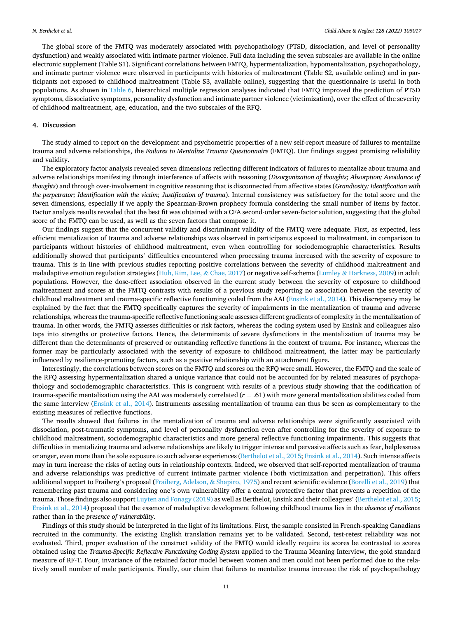The global score of the FMTQ was moderately associated with psychopathology (PTSD, dissociation, and level of personality dysfunction) and weakly associated with intimate partner violence. Full data including the seven subscales are available in the online electronic supplement (Table S1). Significant correlations between FMTQ, hypermentalization, hypomentalization, psychopathology, and intimate partner violence were observed in participants with histories of maltreatment (Table S2, available online) and in participants not exposed to childhood maltreatment (Table S3, available online), suggesting that the questionnaire is useful in both populations. As shown in [Table 6](#page-9-0), hierarchical multiple regression analyses indicated that FMTQ improved the prediction of PTSD symptoms, dissociative symptoms, personality dysfunction and intimate partner violence (victimization), over the effect of the severity of childhood maltreatment, age, education, and the two subscales of the RFQ.

#### **4. Discussion**

The study aimed to report on the development and psychometric properties of a new self-report measure of failures to mentalize trauma and adverse relationships, the *Failures to Mentalize Trauma Questionnaire* (FMTQ). Our findings suggest promising reliability and validity.

The exploratory factor analysis revealed seven dimensions reflecting different indicators of failures to mentalize about trauma and adverse relationships manifesting through interference of affects with reasoning (*Disorganization of thoughts; Absorption; Avoidance of thoughts*) and through over-involvement in cognitive reasoning that is disconnected from affective states (*Grandiosity; Identification with the perpetrator; Identification with the victim; Justification of trauma*). Internal consistency was satisfactory for the total score and the seven dimensions, especially if we apply the Spearman-Brown prophecy formula considering the small number of items by factor. Factor analysis results revealed that the best fit was obtained with a CFA second-order seven-factor solution, suggesting that the global score of the FMTQ can be used, as well as the seven factors that compose it.

Our findings suggest that the concurrent validity and discriminant validity of the FMTQ were adequate. First, as expected, less efficient mentalization of trauma and adverse relationships was observed in participants exposed to maltreatment, in comparison to participants without histories of childhood maltreatment, even when controlling for sociodemographic characteristics. Results additionally showed that participants' difficulties encountered when processing trauma increased with the severity of exposure to trauma. This is in line with previous studies reporting positive correlations between the severity of childhood maltreatment and maladaptive emotion regulation strategies [\(Huh, Kim, Lee,](#page-12-0) & Chae, 2017) or negative self-schema (Lumley & [Harkness, 2009\)](#page-12-0) in adult populations. However, the dose-effect association observed in the current study between the severity of exposure to childhood maltreatment and scores at the FMTQ contrasts with results of a previous study reporting no association between the severity of childhood maltreatment and trauma-specific reflective functioning coded from the AAI [\(Ensink et al., 2014](#page-12-0)). This discrepancy may be explained by the fact that the FMTQ specifically captures the severity of impairments in the mentalization of trauma and adverse relationships, whereas the trauma-specific reflective functioning scale assesses different gradients of complexity in the mentalization of trauma. In other words, the FMTQ assesses difficulties or risk factors, whereas the coding system used by Ensink and colleagues also taps into strengths or protective factors. Hence, the determinants of severe dysfunctions in the mentalization of trauma may be different than the determinants of preserved or outstanding reflective functions in the context of trauma. For instance, whereas the former may be particularly associated with the severity of exposure to childhood maltreatment, the latter may be particularly influenced by resilience-promoting factors, such as a positive relationship with an attachment figure.

Interestingly, the correlations between scores on the FMTQ and scores on the RFQ were small. However, the FMTQ and the scale of the RFQ assessing hypermentalization shared a unique variance that could not be accounted for by related measures of psychopathology and sociodemographic characteristics. This is congruent with results of a previous study showing that the codification of trauma-specific mentalization using the AAI was moderately correlated (*r* = .61) with more general mentalization abilities coded from the same interview ([Ensink et al., 2014\)](#page-12-0). Instruments assessing mentalization of trauma can thus be seen as complementary to the existing measures of reflective functions.

The results showed that failures in the mentalization of trauma and adverse relationships were significantly associated with dissociation, post-traumatic symptoms, and level of personality dysfunction even after controlling for the severity of exposure to childhood maltreatment, sociodemographic characteristics and more general reflective functioning impairments. This suggests that difficulties in mentalizing trauma and adverse relationships are likely to trigger intense and pervasive affects such as fear, helplessness or anger, even more than the sole exposure to such adverse experiences [\(Berthelot et al., 2015](#page-11-0); [Ensink et al., 2014](#page-12-0)). Such intense affects may in turn increase the risks of acting outs in relationship contexts. Indeed, we observed that self-reported mentalization of trauma and adverse relationships was predictive of current intimate partner violence (both victimization and perpetration). This offers additional support to Fraiberg's proposal [\(Fraiberg, Adelson,](#page-12-0) & Shapiro, 1975) and recent scientific evidence [\(Borelli et al., 2019](#page-11-0)) that remembering past trauma and considering one's own vulnerability offer a central protective factor that prevents a repetition of the trauma. Those findings also support [Luyten and Fonagy \(2019\)](#page-12-0) as well as Berthelot, Ensink and their colleagues' [\(Berthelot et al., 2015](#page-11-0); [Ensink et al., 2014](#page-12-0)) proposal that the essence of maladaptive development following childhood trauma lies in the *absence of resilience*  rather than in the *presence of vulnerability*.

Findings of this study should be interpreted in the light of its limitations. First, the sample consisted in French-speaking Canadians recruited in the community. The existing English translation remains yet to be validated. Second, test-retest reliability was not evaluated. Third, proper evaluation of the construct validity of the FMTQ would ideally require its scores be contrasted to scores obtained using the *Trauma-Specific Reflective Functioning Coding System* applied to the Trauma Meaning Interview, the gold standard measure of RF-T. Four, invariance of the retained factor model between women and men could not been performed due to the relatively small number of male participants. Finally, our claim that failures to mentalize trauma increase the risk of psychopathology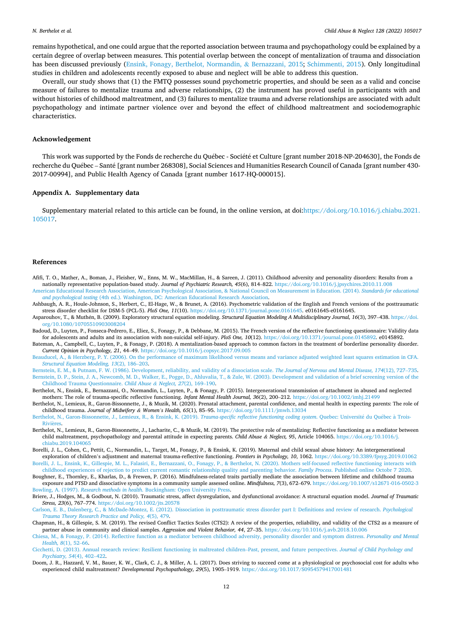<span id="page-11-0"></span>remains hypothetical, and one could argue that the reported association between trauma and psychopathology could be explained by a certain degree of overlap between measures. This potential overlap between the concept of mentalization of trauma and dissociation has been discussed previously ([Ensink, Fonagy, Berthelot, Normandin,](#page-12-0) & Bernazzani, 2015; [Schimmenti, 2015](#page-12-0)). Only longitudinal studies in children and adolescents recently exposed to abuse and neglect will be able to address this question.

Overall, our study shows that (1) the FMTQ possesses sound psychometric properties, and should be seen as a valid and concise measure of failures to mentalize trauma and adverse relationships, (2) the instrument has proved useful in participants with and without histories of childhood maltreatment, and (3) failures to mentalize trauma and adverse relationships are associated with adult psychopathology and intimate partner violence over and beyond the effect of childhood maltreatment and sociodemographic characteristics.

#### **Acknowledgement**

This work was supported by the Fonds de recherche du Québec - Société et Culture [grant number 2018-NP-204630], the Fonds de recherche du Québec – Santé [grant number 268308], Social Sciences and Humanities Research Council of Canada [grant number 430-2017-00994], and Public Health Agency of Canada [grant number 1617-HQ-000015].

## **Appendix A. Supplementary data**

Supplementary material related to this article can be found, in the online version, at doi:[https://doi.org/10.1016/j.chiabu.2021.](https://doi.org/10.1016/j.chiabu.2021.105017) [105017.](https://doi.org/10.1016/j.chiabu.2021.105017)

#### **References**

- Afifi, T. O., Mather, A., Boman, J., Fleisher, W., Enns, M. W., MacMillan, H., & Sareen, J. (2011). Childhood adversity and personality disorders: Results from a nationally representative population-based study. *Journal of Psychiatric Research, 45*(6), 814–822.<https://doi.org/10.1016/j.jpsychires.2010.11.008>
- [American Educational Research Association, American Psychological Association, & National Council on Measurement in Education. \(2014\).](http://refhub.elsevier.com/S0145-2134(21)00090-9/sbref0010) *Standards for educational and psychological testing* [\(4th ed.\). Washington, DC: American Educational Research Association](http://refhub.elsevier.com/S0145-2134(21)00090-9/sbref0010).
- Ashbaugh, A. R., Houle-Johnson, S., Herbert, C., El-Hage, W., & Brunet, A. (2016). Psychometric validation of the English and French versions of the posttraumatic stress disorder checklist for DSM-5 (PCL-5). *PloS One, 11*(10). <https://doi.org/10.1371/journal.pone.0161645>. e0161645-e0161645.
- Asparouhov, T., & Muth´en, B. (2009). Exploratory structural equation modeling. *Structural Equation Modeling A Multidisciplinary Journal, 16*(3), 397–438. [https://doi.](https://doi.org/10.1080/10705510903008204) [org/10.1080/10705510903008204](https://doi.org/10.1080/10705510903008204)
- Badoud, D., Luyten, P., Fonseca-Pedrero, E., Eliez, S., Fonagy, P., & Debbane, M. (2015). The French version of the reflective functioning questionnaire: Validity data for adolescents and adults and its association with non-suicidal self-injury. *PloS One, 10*(12). [https://doi.org/10.1371/journal.pone.0145892.](https://doi.org/10.1371/journal.pone.0145892) e0145892.
- Bateman, A., Campbell, C., Luyten, P., & Fonagy, P. (2018). A mentalization-based approach to common factors in the treatment of borderline personality disorder. *Current Opinion in Psychology, 21*, 44–49.<https://doi.org/10.1016/j.copsyc.2017.09.005>
- [Beauducel, A., & Herzberg, P. Y. \(2006\). On the performance of maximum likelihood versus means and variance adjusted weighted least squares estimation in CFA.](http://refhub.elsevier.com/S0145-2134(21)00090-9/sbref0035) *[Structural Equation Modeling, 13](http://refhub.elsevier.com/S0145-2134(21)00090-9/sbref0035)*(2), 186–203.
- [Bernstein, E. M., & Putnam, F. W. \(1986\). Development, reliability, and validity of a dissociation scale.](http://refhub.elsevier.com/S0145-2134(21)00090-9/sbref0040) *The Journal of Nervous and Mental Disease, 174*(12), 727–735. [Bernstein, D. P., Stein, J. A., Newcomb, M. D., Walker, E., Pogge, D., Ahluvalia, T., & Zule, W. \(2003\). Development and validation of a brief screening version of the](http://refhub.elsevier.com/S0145-2134(21)00090-9/sbref0045) [Childhood Trauma Questionnaire.](http://refhub.elsevier.com/S0145-2134(21)00090-9/sbref0045) *Child Abuse & Neglect, 27*(2), 169–190.
- Berthelot, N., Ensink, E., Bernazzani, O., Normandin, L., Luyten, P., & Fonagy, P. (2015). Intergenerational transmission of attachment in abused and neglected mothers: The role of trauma-specific reflective functioning. *Infant Mental Health Journal, 36*(2), 200–212.<https://doi.org/10.1002/imhj.21499>
- Berthelot, N., Lemieux, R., Garon-Bissonnette, J., & Muzik, M. (2020). Prenatal attachment, parental confidence, and mental health in expecting parents: The role of childhood trauma. *Journal of Midwifery & Women's Health, 65*(1), 85–95. <https://doi.org/10.1111/jmwh.13034>
- [Berthelot, N., Garon-Bissonnette, J., Lemieux, R., & Ensink, K. \(2019\).](http://refhub.elsevier.com/S0145-2134(21)00090-9/sbref0060) Trauma-specific reflective functioning coding system. Quebec: Université du Québec à Trois-**Rivières**
- Berthelot, N., Lemieux, R., Garon-Bissonnette, J., Lacharite, C., & Muzik, M. (2019). The protective role of mentalizing: Reflective functioning as a mediator between child maltreatment, psychopathology and parental attitude in expecting parents. *Child Abuse & Neglect, 95*, Article 104065. [https://doi.org/10.1016/j.](https://doi.org/10.1016/j.chiabu.2019.104065) [chiabu.2019.104065](https://doi.org/10.1016/j.chiabu.2019.104065)
- Borelli, J. L., Cohen, C., Pettit, C., Normandin, L., Target, M., Fonagy, P., & Ensink, K. (2019). Maternal and child sexual abuse history: An intergenerational exploration of children's adjustment and maternal trauma-reflective functioning. *Frontiers in Psychology, 10*, 1062. <https://doi.org/10.3389/fpsyg.2019.01062>
- [Borelli, J. L., Ensink, K., Gillespie, M. L., Falasiri, E., Bernazzani, O., Fonagy, P., & Berthelot, N. \(2020\). Mothers self-focused reflective functioning interacts with](http://refhub.elsevier.com/S0145-2134(21)00090-9/sbref0075)  [childhood experiences of rejection to predict current romantic relationship quality and parenting behavior.](http://refhub.elsevier.com/S0145-2134(21)00090-9/sbref0075) *Family Process*. Published online Octobr 7 2020. Boughner, E., Thornley, E., Kharlas, D., & Frewen, P. (2016). Mindfulness-related traits partially mediate the association between lifetime and childhood trauma
- exposure and PTSD and dissociative symptoms in a community sample assessed online. *Mindfulness, 7*(3), 672–679.<https://doi.org/10.1007/s12671-016-0502-3> Bowling, A. (1997). *Research methods in health*[. Buckingham: Open University Press](http://refhub.elsevier.com/S0145-2134(21)00090-9/sbref0085).
- Briere, J., Hodges, M., & Godbout, N. (2010). Traumatic stress, affect dysregulation, and dysfunctional avoidance: A structural equation model. *Journal of Traumatic Stress, 23*(6), 767–774. <https://doi.org/10.1002/jts.20578>
- [Carlson, E. B., Dalenberg, C., & McDade-Montez, E. \(2012\). Dissociation in posttraumatic stress disorder part I: Definitions and review of research.](http://refhub.elsevier.com/S0145-2134(21)00090-9/sbref0095) *Psychological [Trauma Theory Research Practice and Policy, 4](http://refhub.elsevier.com/S0145-2134(21)00090-9/sbref0095)*(5), 479.
- Chapman, H., & Gillespie, S. M. (2019). The revised Conflict Tactics Scales (CTS2): A review of the properties, reliability, and validity of the CTS2 as a measure of partner abuse in community and clinical samples. *Aggression and Violent Behavior, 44*, 27–35.<https://doi.org/10.1016/j.avb.2018.10.006>
- [Chiesa, M., & Fonagy, P. \(2014\). Reflective function as a mediator between childhood adversity, personality disorder and symptom distress.](http://refhub.elsevier.com/S0145-2134(21)00090-9/sbref0105) *Personality and Mental [Health, 8](http://refhub.elsevier.com/S0145-2134(21)00090-9/sbref0105)*(1), 52–66.
- [Cicchetti, D. \(2013\). Annual research review: Resilient functioning in maltreated children](http://refhub.elsevier.com/S0145-2134(21)00090-9/sbref0110)–Past, present, and future perspectives. *Journal of Child Psychology and [Psychiatry, 54](http://refhub.elsevier.com/S0145-2134(21)00090-9/sbref0110)*(4), 402–422.
- Doom, J. R., Hazzard, V. M., Bauer, K. W., Clark, C. J., & Miller, A. L. (2017). Does striving to succeed come at a physiological or psychosocial cost for adults who experienced child maltreatment? *Developmental Psychopathology, 29*(5), 1905–1919. <https://doi.org/10.1017/S0954579417001481>